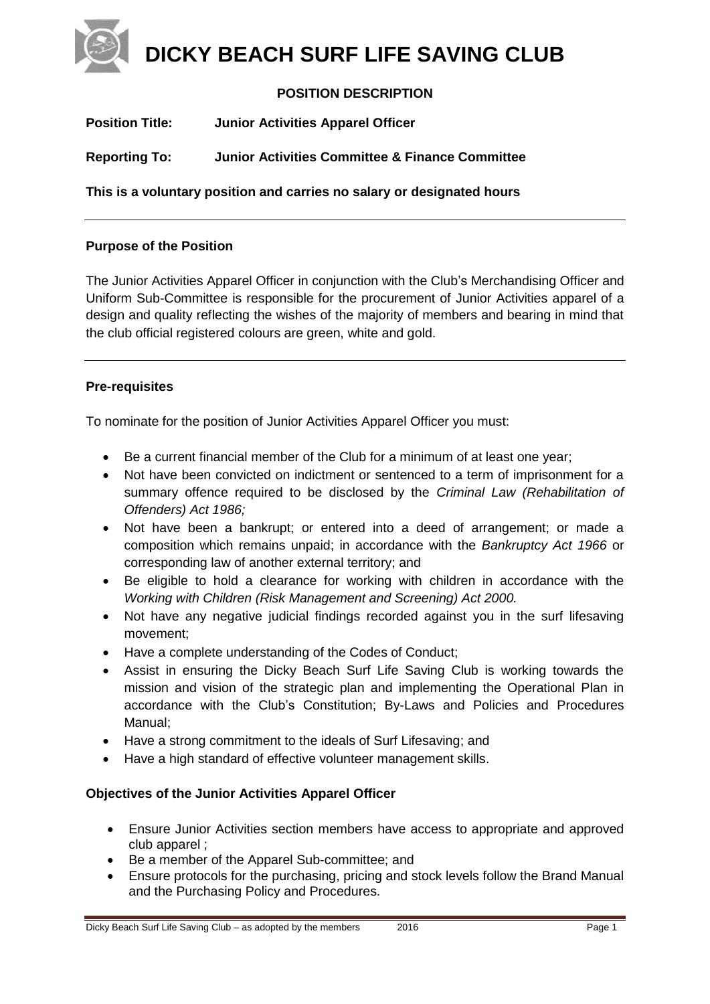**DICKY BEACH SURF LIFE SAVING CLUB**

# **POSITION DESCRIPTION**

| <b>Position Title:</b>                                                 | <b>Junior Activities Apparel Officer</b>                   |  |
|------------------------------------------------------------------------|------------------------------------------------------------|--|
| <b>Reporting To:</b>                                                   | <b>Junior Activities Committee &amp; Finance Committee</b> |  |
| This is a voluntary position and carries no salary or designated hours |                                                            |  |

### **Purpose of the Position**

The Junior Activities Apparel Officer in conjunction with the Club's Merchandising Officer and Uniform Sub-Committee is responsible for the procurement of Junior Activities apparel of a design and quality reflecting the wishes of the majority of members and bearing in mind that the club official registered colours are green, white and gold.

### **Pre-requisites**

To nominate for the position of Junior Activities Apparel Officer you must:

- Be a current financial member of the Club for a minimum of at least one year;
- Not have been convicted on indictment or sentenced to a term of imprisonment for a summary offence required to be disclosed by the *Criminal Law (Rehabilitation of Offenders) Act 1986;*
- Not have been a bankrupt; or entered into a deed of arrangement; or made a composition which remains unpaid; in accordance with the *Bankruptcy Act 1966* or corresponding law of another external territory; and
- Be eligible to hold a clearance for working with children in accordance with the *Working with Children (Risk Management and Screening) Act 2000.*
- Not have any negative judicial findings recorded against you in the surf lifesaving movement;
- Have a complete understanding of the Codes of Conduct:
- Assist in ensuring the Dicky Beach Surf Life Saving Club is working towards the mission and vision of the strategic plan and implementing the Operational Plan in accordance with the Club's Constitution; By-Laws and Policies and Procedures Manual;
- Have a strong commitment to the ideals of Surf Lifesaving; and
- Have a high standard of effective volunteer management skills.

### **Objectives of the Junior Activities Apparel Officer**

- Ensure Junior Activities section members have access to appropriate and approved club apparel ;
- Be a member of the Apparel Sub-committee; and
- Ensure protocols for the purchasing, pricing and stock levels follow the Brand Manual and the Purchasing Policy and Procedures.